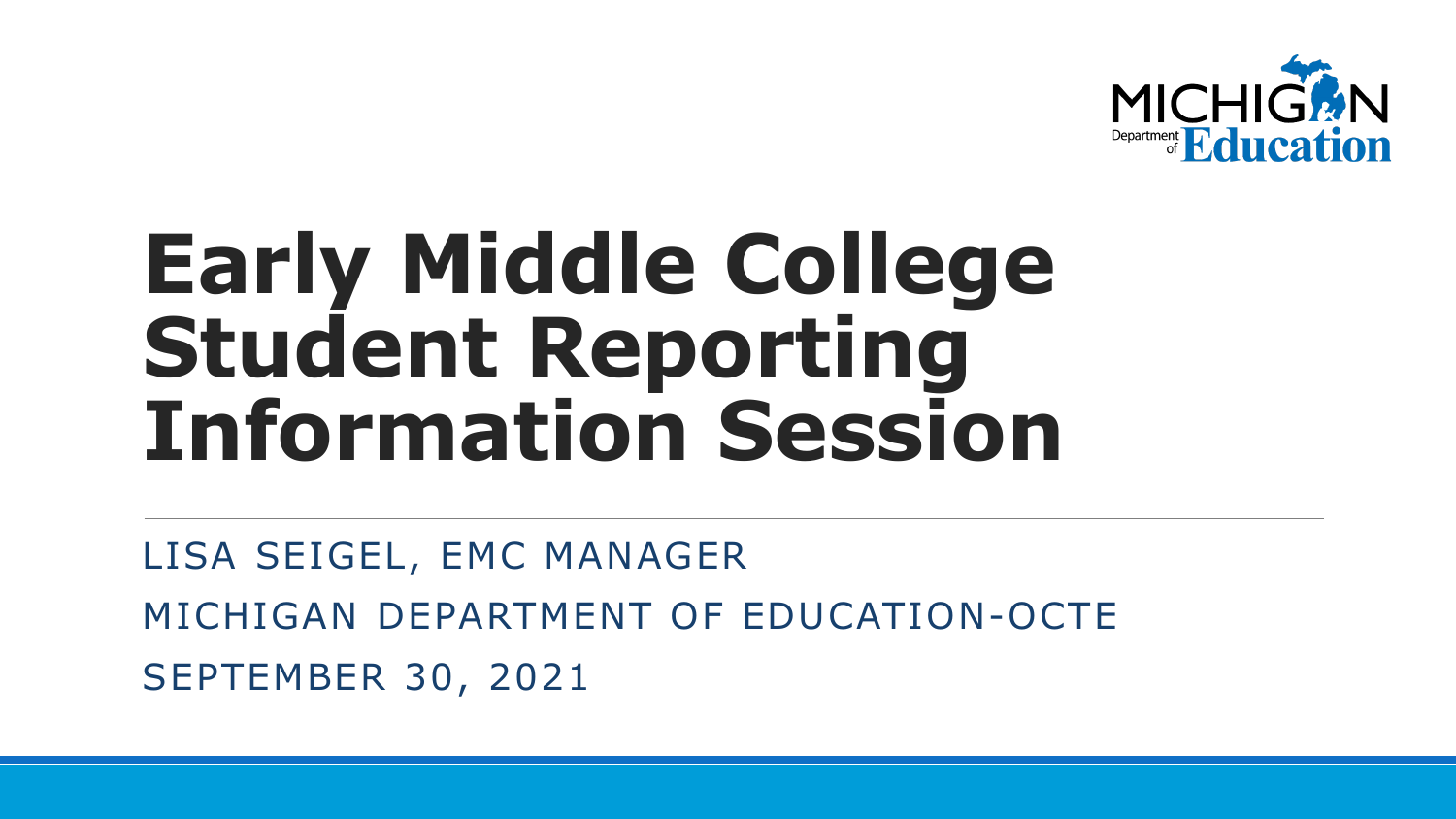

## **Early Middle College Student Reporting Information Session**

LISA SEIGEL, EMC MANAGER MICHIGAN DEPARTMENT OF EDUCATION-OCTE SEPTEMBER 30, 2021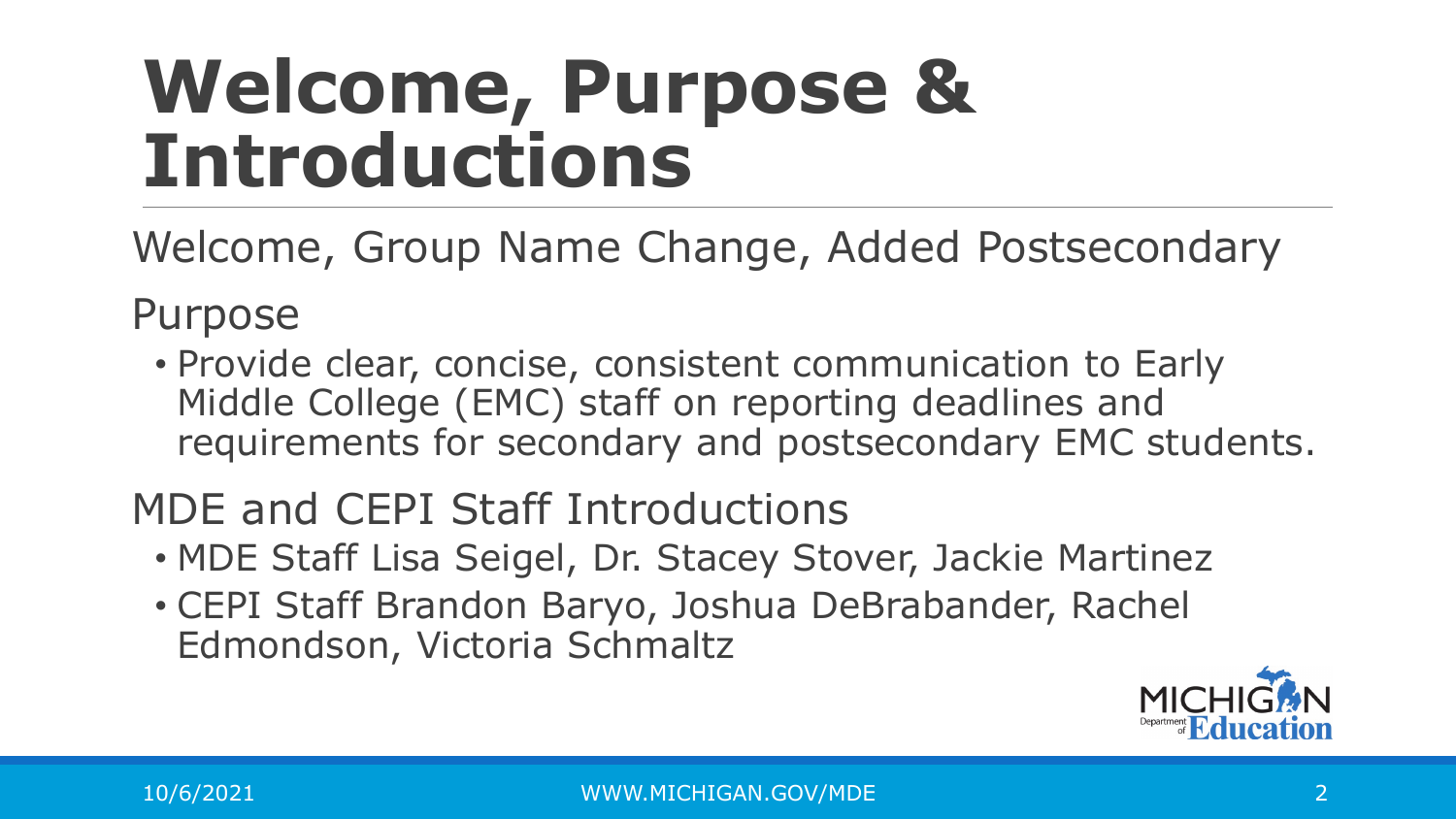### **Welcome, Purpose & Introductions**

Welcome, Group Name Change, Added Postsecondary

Purpose

• Provide clear, concise, consistent communication to Early Middle College (EMC) staff on reporting deadlines and requirements for secondary and postsecondary EMC students.

MDE and CEPI Staff Introductions

- MDE Staff Lisa Seigel, Dr. Stacey Stover, Jackie Martinez
- CEPI Staff Brandon Baryo, Joshua DeBrabander, Rachel Edmondson, Victoria Schmaltz

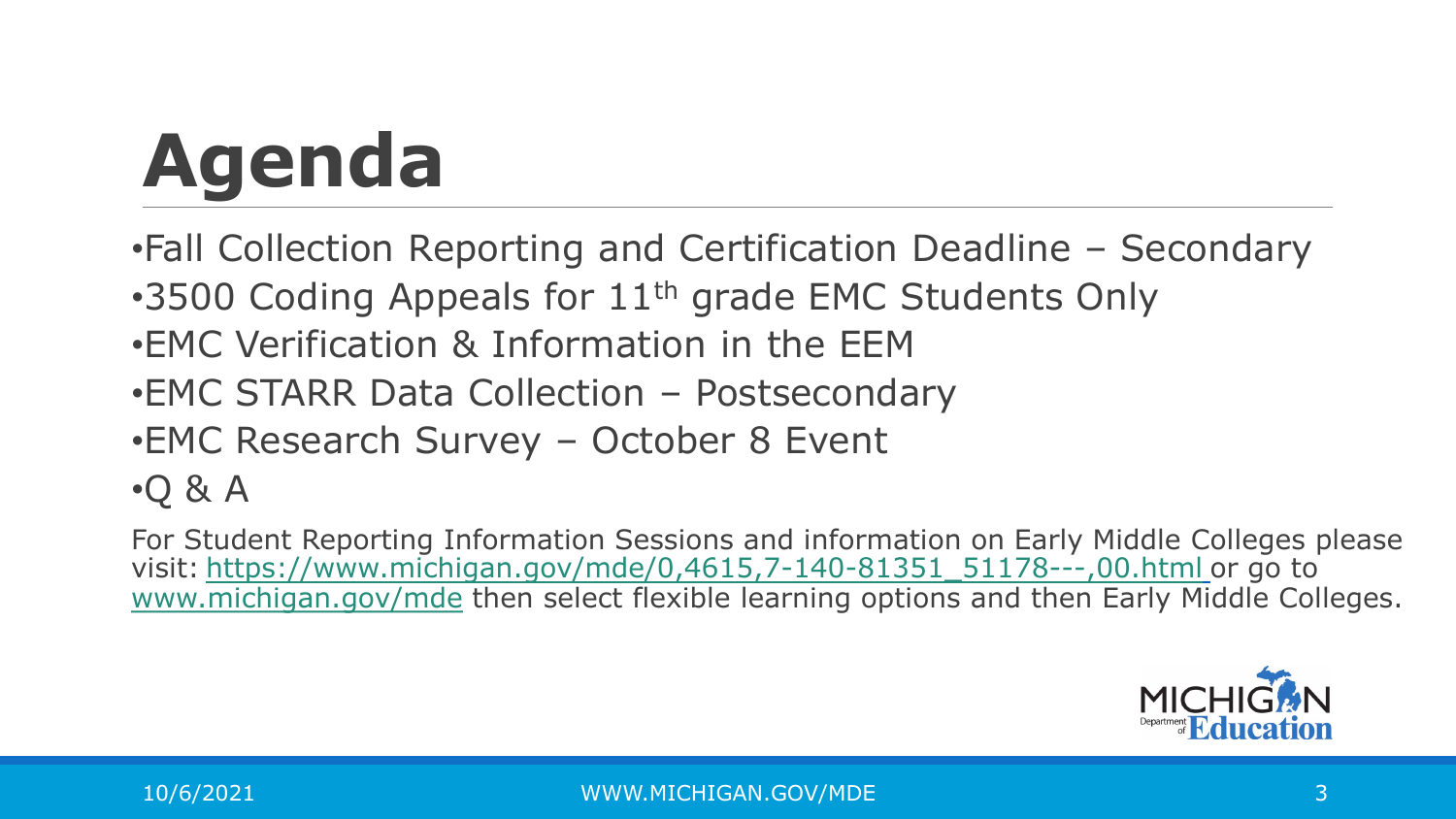# **Agenda**

- •Fall Collection Reporting and Certification Deadline Secondary
- •3500 Coding Appeals for 11<sup>th</sup> grade EMC Students Only
- •EMC Verification & Information in the EEM
- •EMC STARR Data Collection Postsecondary
- •EMC Research Survey October 8 Event
- •Q & A

For Student Reporting Information Sessions and information on Early Middle Colleges please visit: [https://www.michigan.gov/mde/0,4615,7-140-81351\\_51178---,00.html](https://www.michigan.gov/mde/0,4615,7-140-81351_51178---,00.html) or go to [www.michigan.gov/mde](http://www.michigan.gov/mde) then select flexible learning options and then Early Middle Colleges.

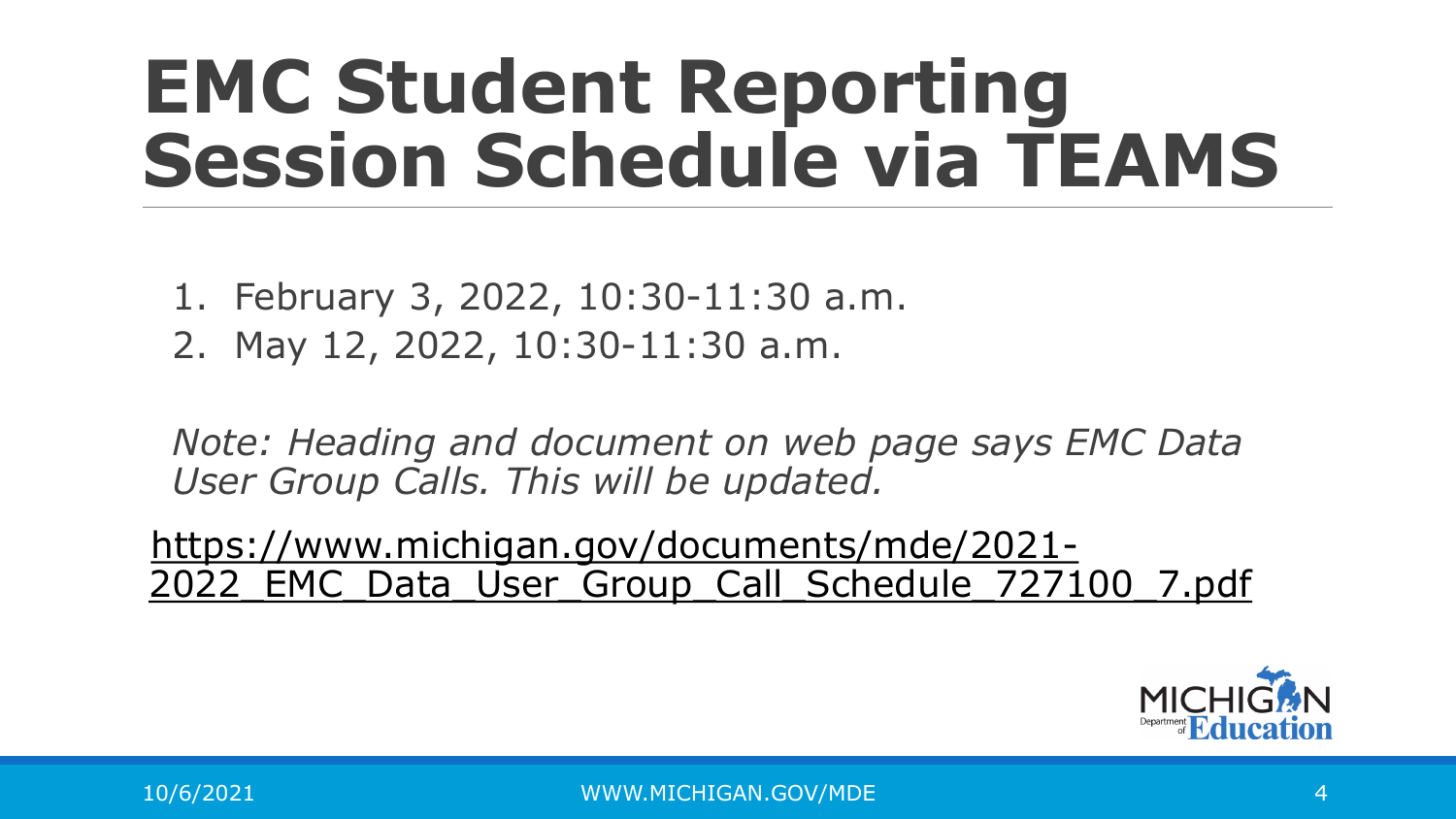### **EMC Student Reporting Session Schedule via TEAMS**

- 1. February 3, 2022, 10:30-11:30 a.m.
- 2. May 12, 2022, 10:30-11:30 a.m.

*Note: Heading and document on web page says EMC Data User Group Calls. This will be updated.*

https://www.michigan.gov/documents/mde/2021- 2022 EMC Data User Group Call Schedule 727100 7.pdf

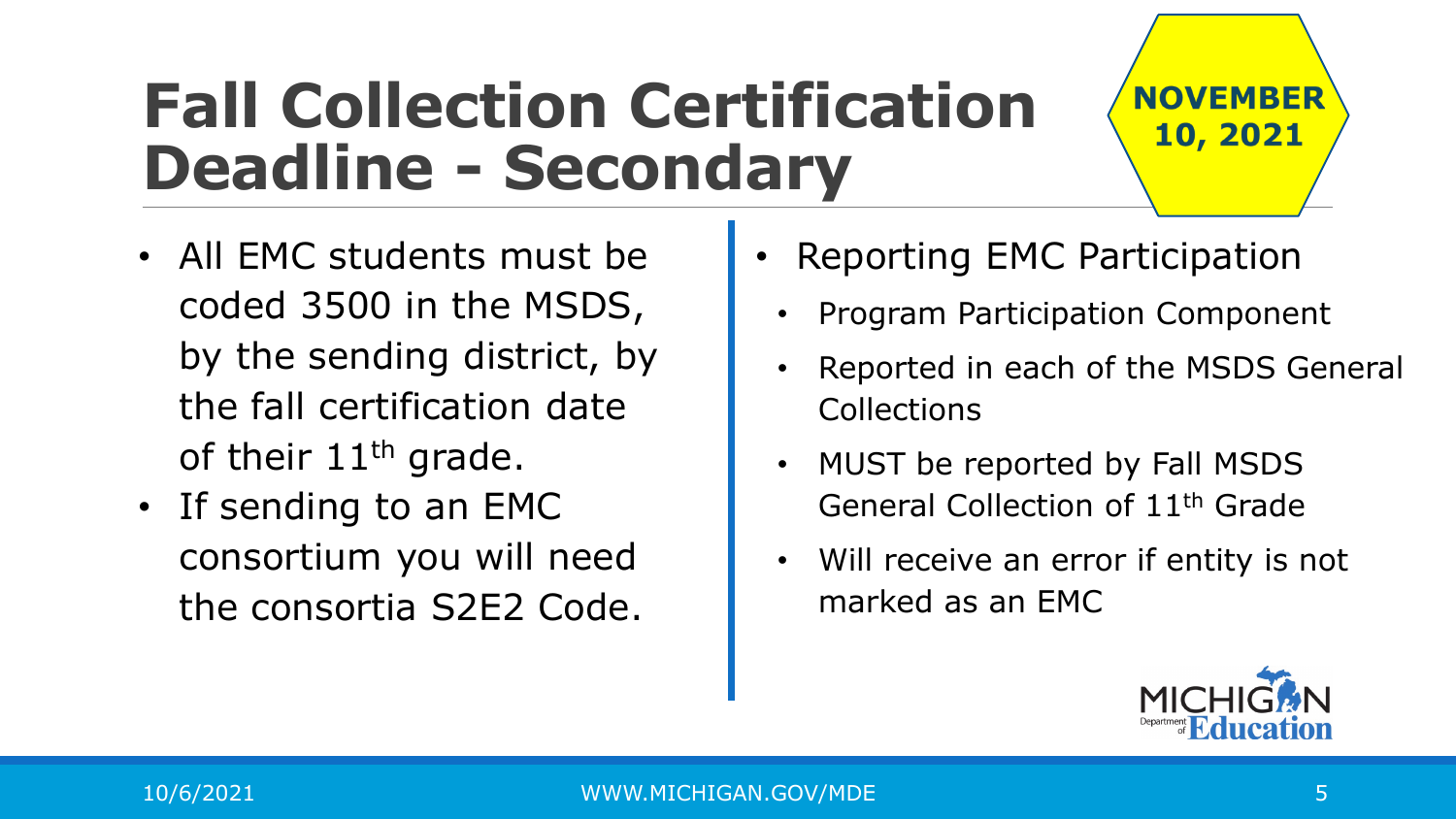#### **Fall Collection Certification Deadline - Secondary**

- All EMC students must be coded 3500 in the MSDS, by the sending district, by the fall certification date of their 11<sup>th</sup> grade.
- If sending to an EMC consortium you will need the consortia S2E2 Code.
- Reporting EMC Participation
	- Program Participation Component
	- Reported in each of the MSDS General **Collections**
	- MUST be reported by Fall MSDS General Collection of 11th Grade
	- Will receive an error if entity is not marked as an EMC



**NOVEMBER** 

10, 2021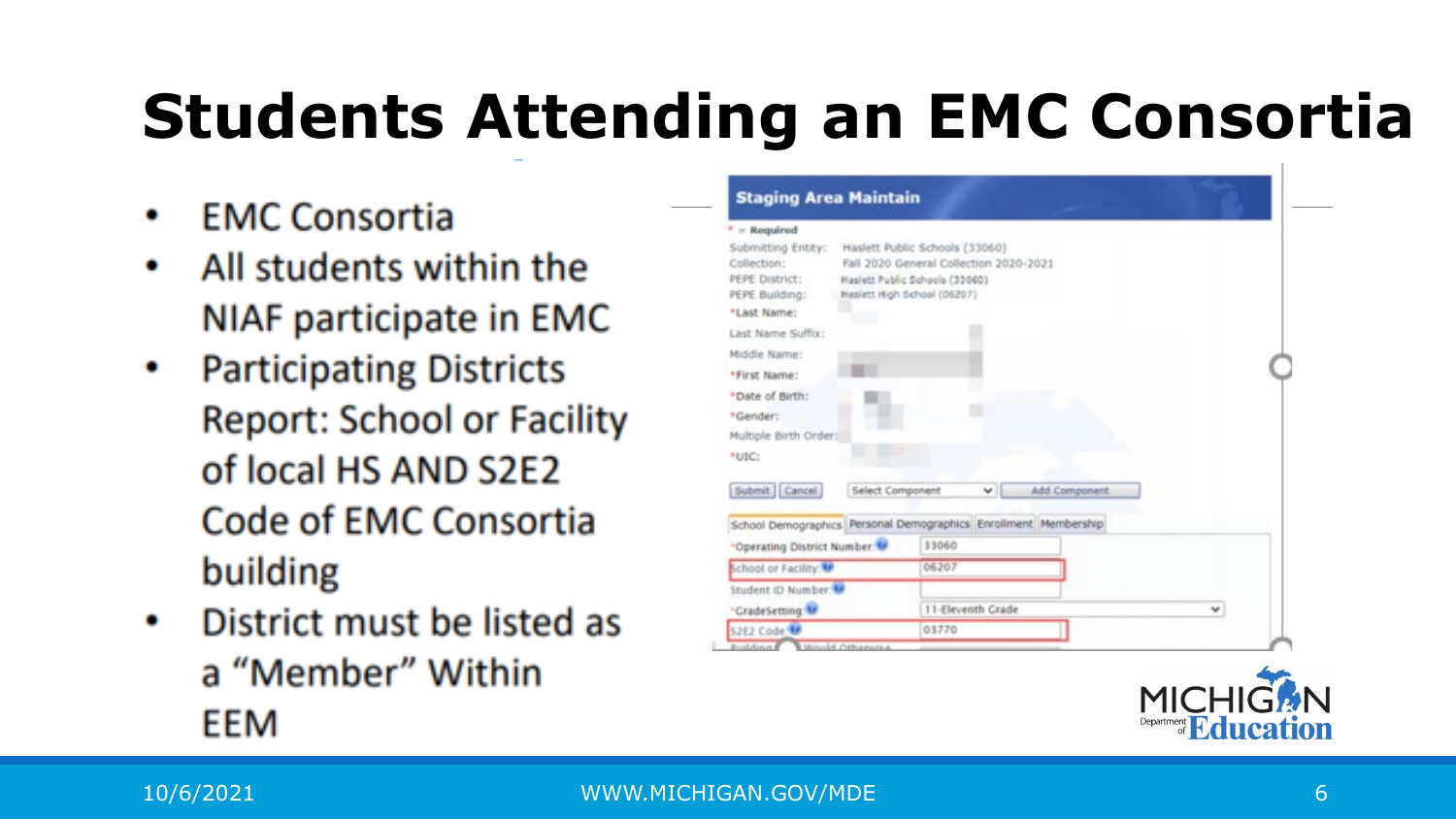#### **Students Attending an EMC Consortia**

- **EMC Consortia** ۰
- All students within the ۰ NIAF participate in EMC
- Participating Districts **Report: School or Facility** of local HS AND S2E2 Code of EMC Consortia building
- District must be listed as المعالجة المعا a "Member" Within EEM

| * = Required                                                                                                                                                                                                               |                                                                                                                                           |               |   |
|----------------------------------------------------------------------------------------------------------------------------------------------------------------------------------------------------------------------------|-------------------------------------------------------------------------------------------------------------------------------------------|---------------|---|
| Submitting Entity:<br>Collection:<br>PEPE District:<br>PEPE Building:                                                                                                                                                      | Haslett Public Schools (33060)<br>Fall 2020 General Collection 2020-2021<br>Haslett Public Schools (33060)<br>Haslett High School (06207) |               |   |
| *Last Name:                                                                                                                                                                                                                |                                                                                                                                           |               |   |
| Last Name Suffix:                                                                                                                                                                                                          |                                                                                                                                           |               |   |
| Middle Name:                                                                                                                                                                                                               |                                                                                                                                           |               |   |
| *First Name:                                                                                                                                                                                                               |                                                                                                                                           |               |   |
| *Date of Birth:                                                                                                                                                                                                            |                                                                                                                                           |               |   |
|                                                                                                                                                                                                                            |                                                                                                                                           |               |   |
|                                                                                                                                                                                                                            |                                                                                                                                           |               |   |
|                                                                                                                                                                                                                            |                                                                                                                                           |               |   |
|                                                                                                                                                                                                                            |                                                                                                                                           |               |   |
|                                                                                                                                                                                                                            |                                                                                                                                           |               |   |
| Select Component                                                                                                                                                                                                           | v.                                                                                                                                        | Add Component |   |
|                                                                                                                                                                                                                            |                                                                                                                                           |               |   |
|                                                                                                                                                                                                                            | 33060                                                                                                                                     |               |   |
|                                                                                                                                                                                                                            | 06207                                                                                                                                     |               |   |
|                                                                                                                                                                                                                            |                                                                                                                                           |               |   |
| *Gender:<br>Multiple Birth Order:<br>*utc:<br>Submit Cancel<br>School Demographics Personal Demographics Enrollment Membership<br>"Operating District Number<br>School or Facility:<br>Student ID Number<br>"CradeSetting: | 11-Eleventh Grade                                                                                                                         |               | v |

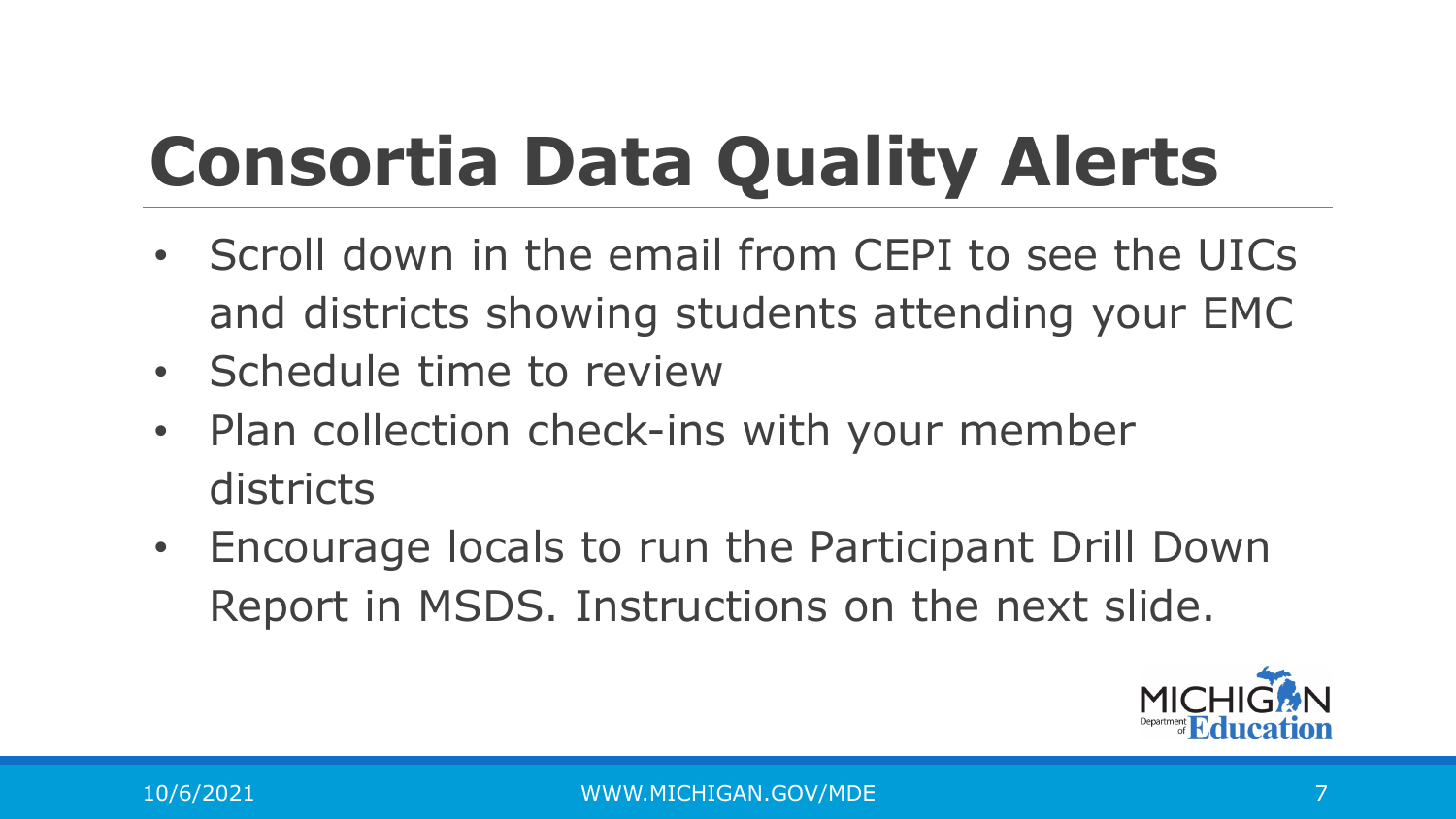## **Consortia Data Quality Alerts**

- Scroll down in the email from CEPI to see the UICs and districts showing students attending your EMC
- Schedule time to review
- Plan collection check-ins with your member districts
- Encourage locals to run the Participant Drill Down Report in MSDS. Instructions on the next slide.

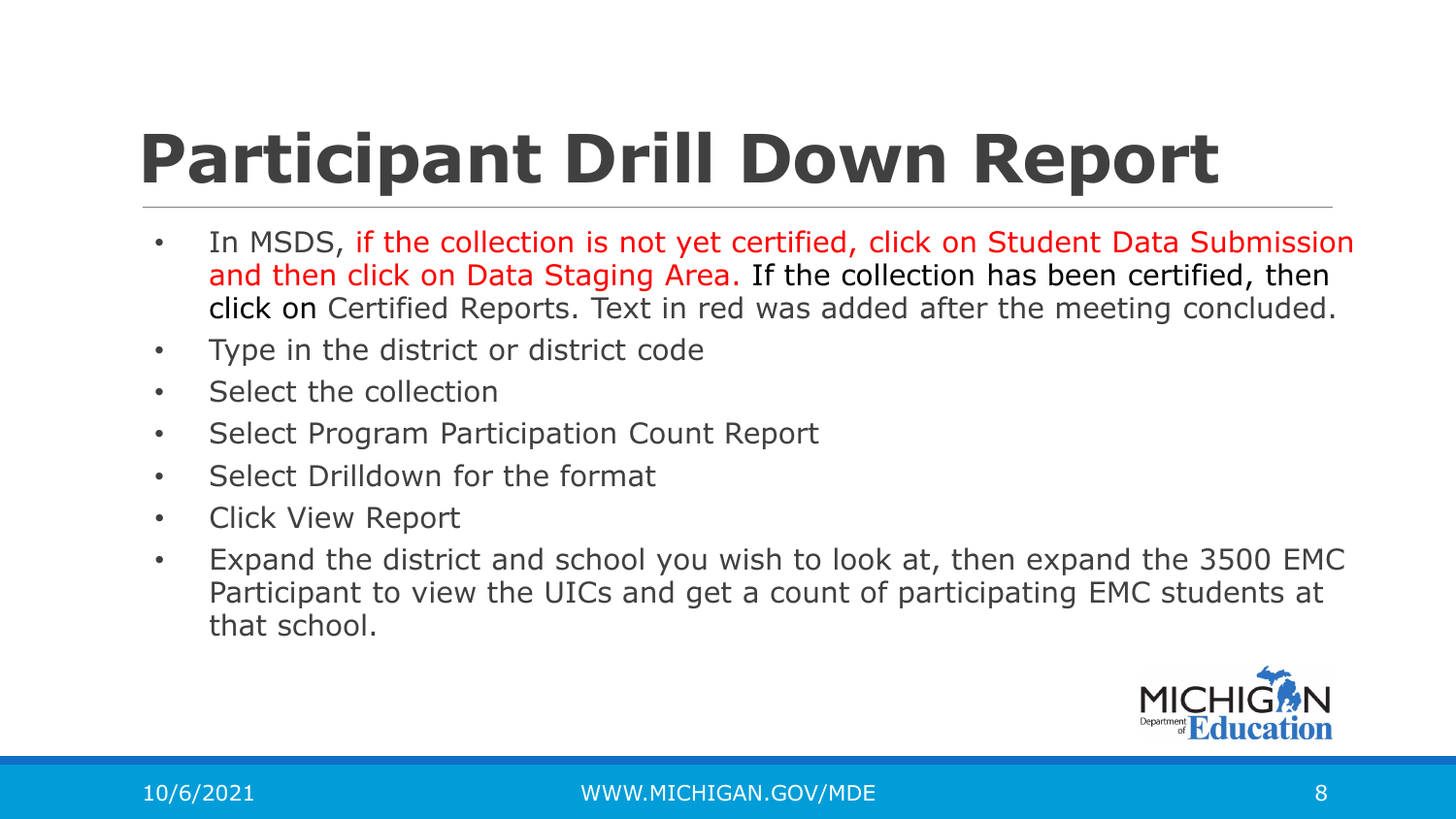## **Participant Drill Down Report**

- In MSDS, if the collection is not yet certified, click on Student Data Submission and then click on Data Staging Area. If the collection has been certified, then click on Certified Reports. Text in red was added after the meeting concluded.
- Type in the district or district code
- Select the collection
- Select Program Participation Count Report
- Select Drilldown for the format
- Click View Report
- Expand the district and school you wish to look at, then expand the 3500 EMC Participant to view the UICs and get a count of participating EMC students at that school.

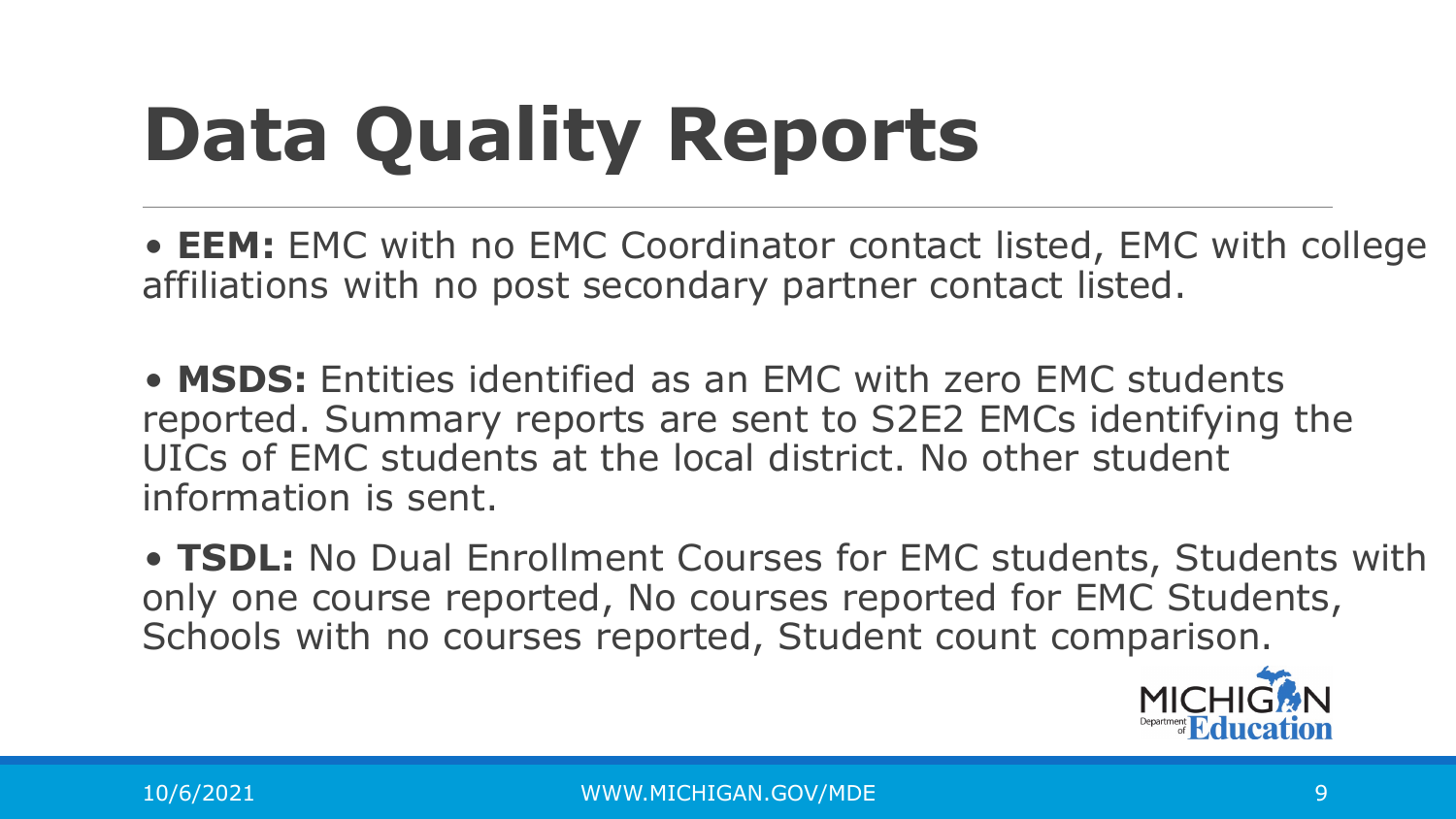# **Data Quality Reports**

• **EEM:** EMC with no EMC Coordinator contact listed, EMC with college affiliations with no post secondary partner contact listed.

• **MSDS:** Entities identified as an EMC with zero EMC students reported. Summary reports are sent to S2E2 EMCs identifying the UICs of EMC students at the local district. No other student information is sent.

• **TSDL:** No Dual Enrollment Courses for EMC students, Students with only one course reported, No courses reported for EMC Students, Schools with no courses reported, Student count comparison.

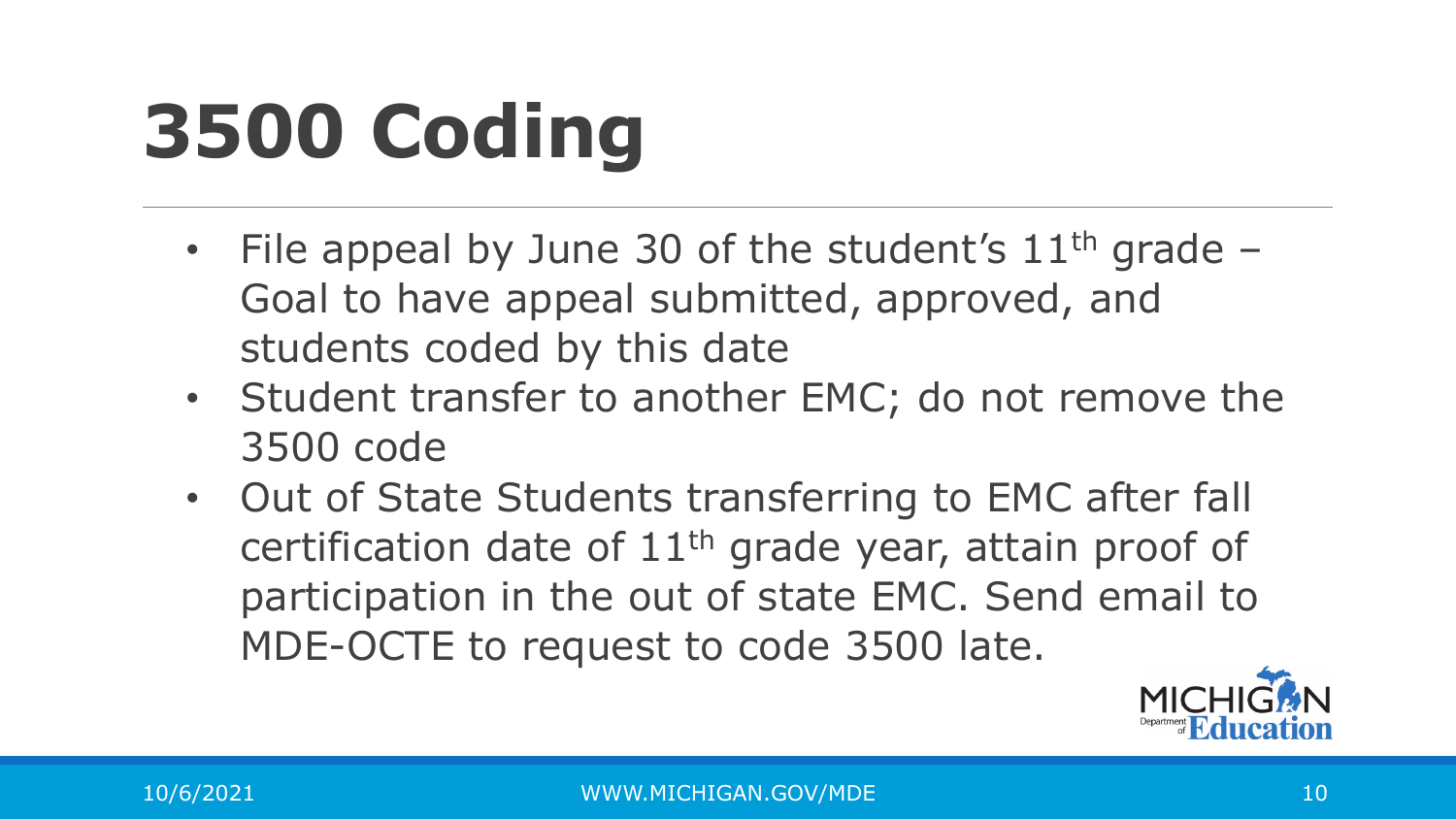## **3500 Coding**

- File appeal by June 30 of the student's  $11<sup>th</sup>$  grade Goal to have appeal submitted, approved, and students coded by this date
- Student transfer to another EMC; do not remove the 3500 code
- Out of State Students transferring to EMC after fall certification date of 11th grade year, attain proof of participation in the out of state EMC. Send email to MDE-OCTE to request to code 3500 late.

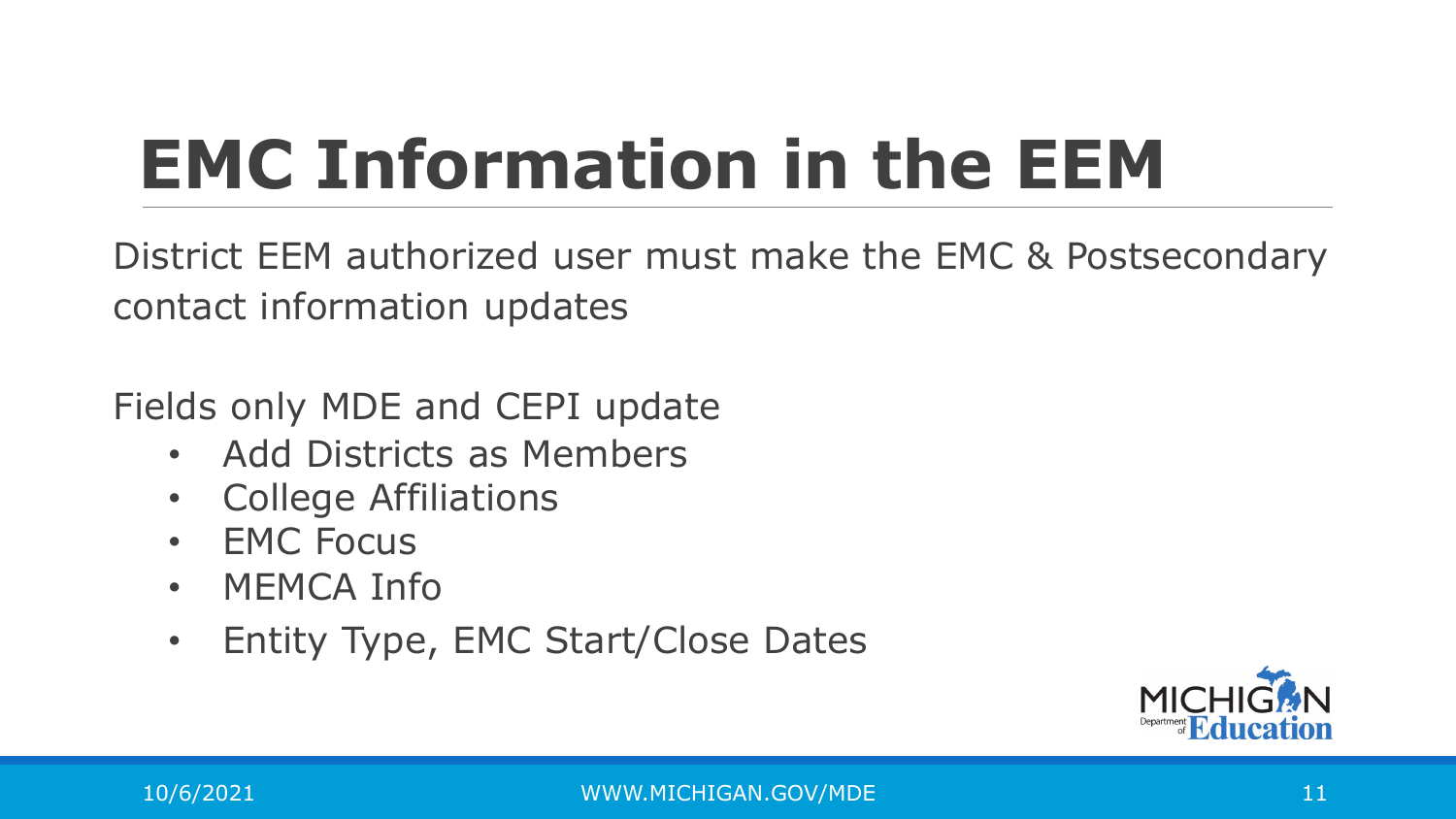## **EMC Information in the EEM**

District EEM authorized user must make the EMC & Postsecondary contact information updates

Fields only MDE and CEPI update

- Add Districts as Members
- College Affiliations
- EMC Focus
- MEMCA Info
- Entity Type, EMC Start/Close Dates

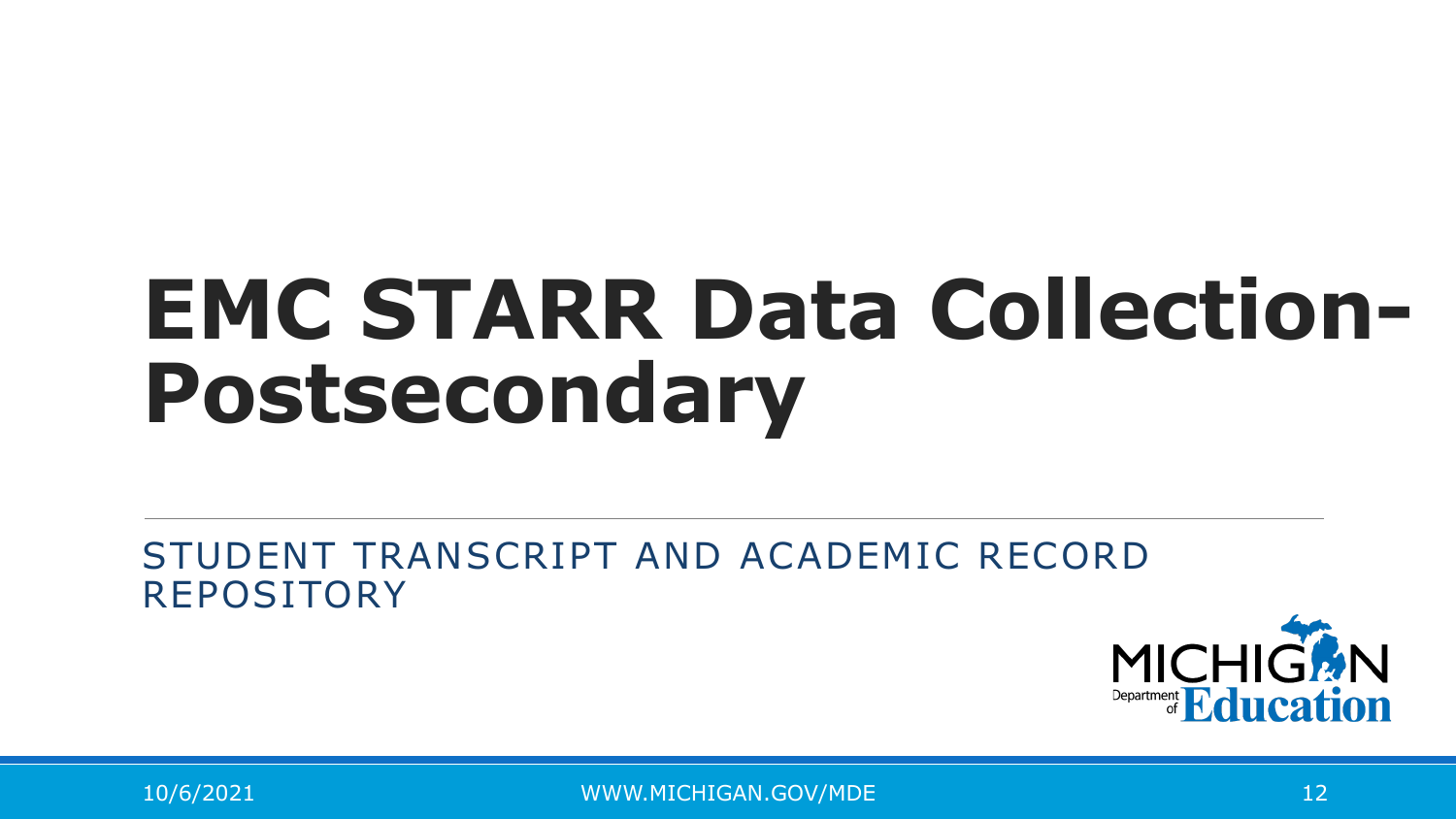# **EMC STARR Data Collection-Postsecondary**

#### STUDENT TRANSCRIPT AND ACADEMIC RECORD REPOSITORY

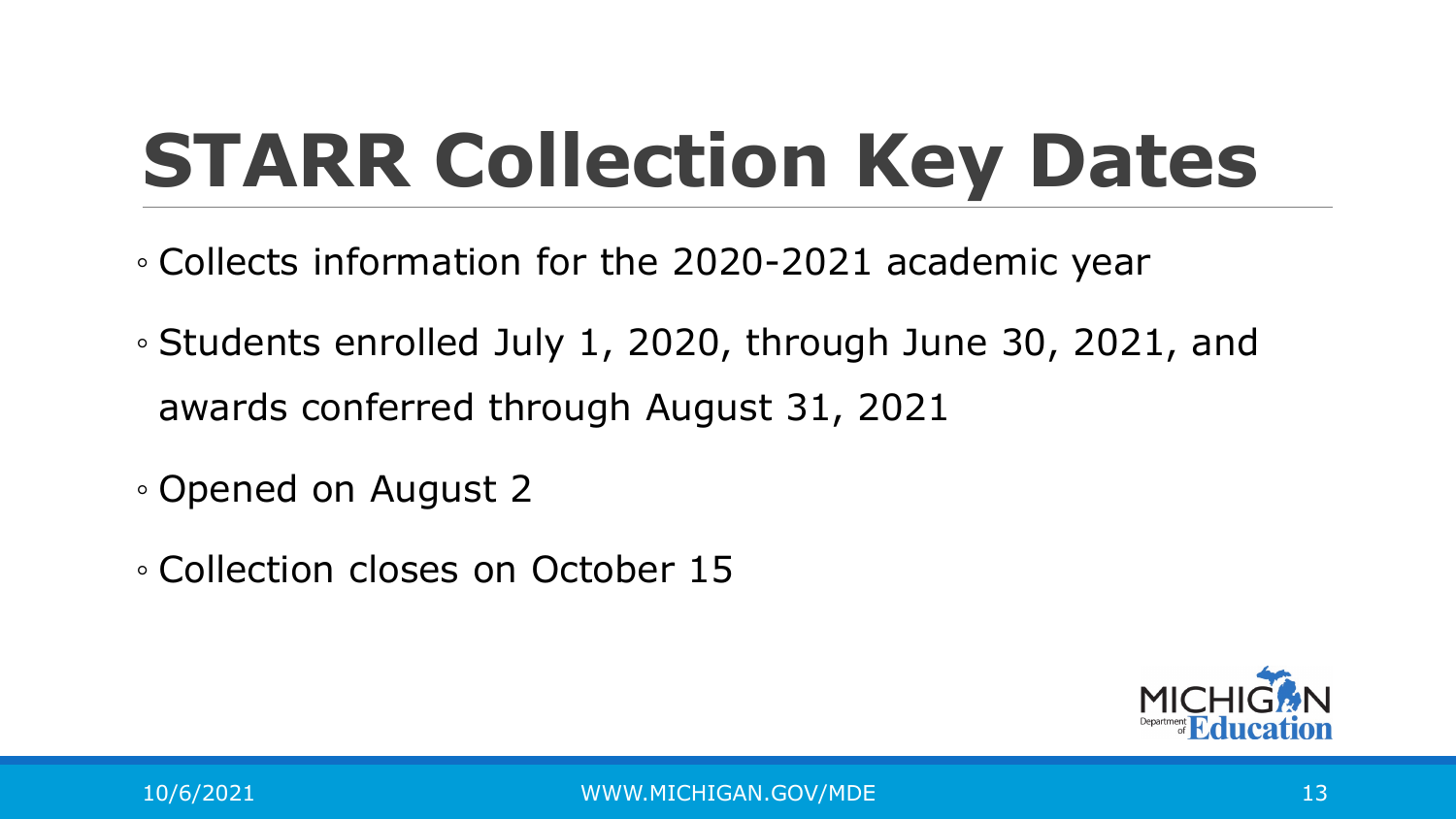## **STARR Collection Key Dates**

- Collects information for the 2020-2021 academic year
- Students enrolled July 1, 2020, through June 30, 2021, and awards conferred through August 31, 2021
- Opened on August 2
- Collection closes on October 15

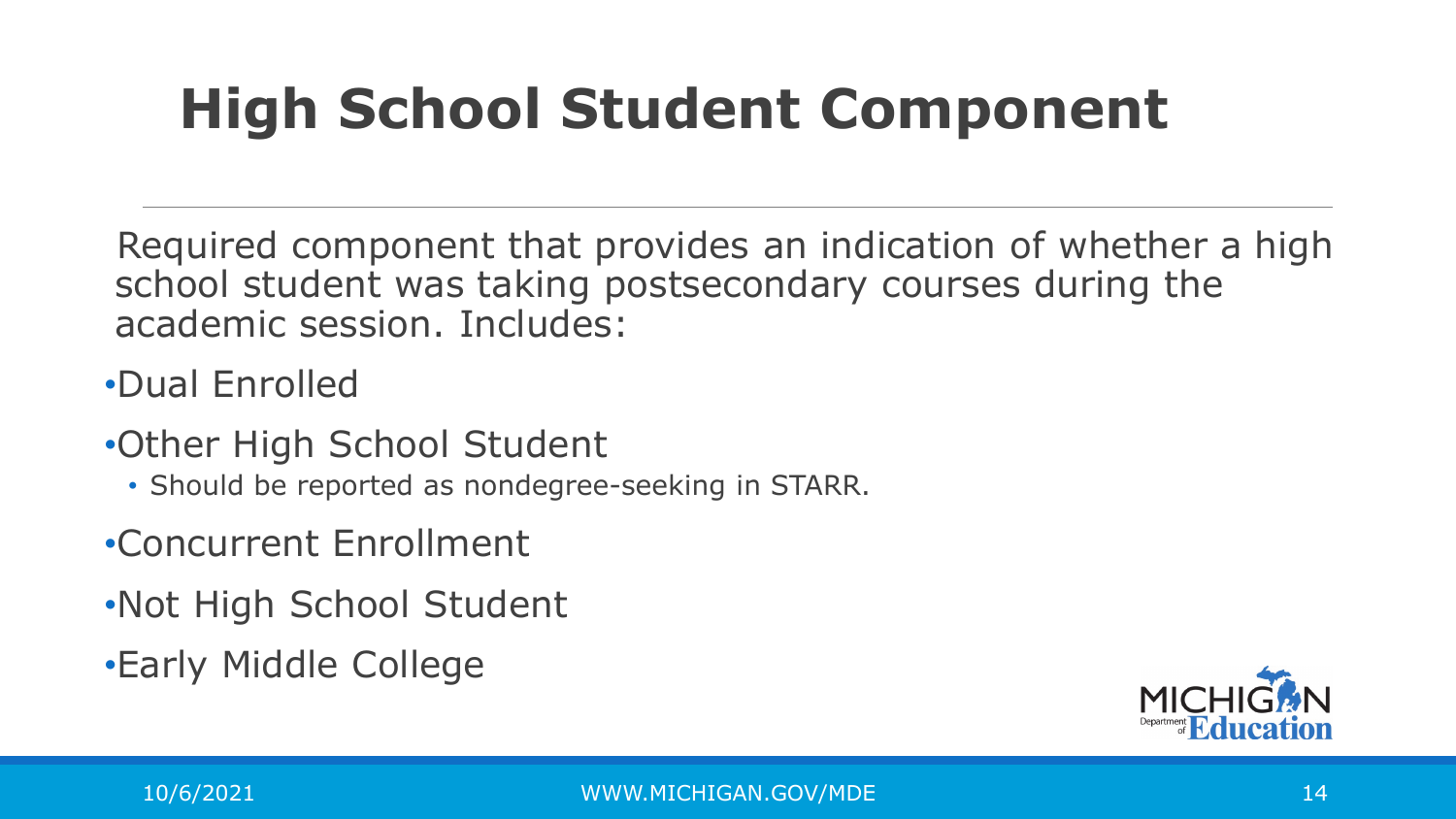#### **High School Student Component**

Required component that provides an indication of whether a high school student was taking postsecondary courses during the academic session. Includes:

•Dual Enrolled

- •Other High School Student
	- Should be reported as nondegree-seeking in STARR.
- •Concurrent Enrollment
- •Not High School Student
- •Early Middle College

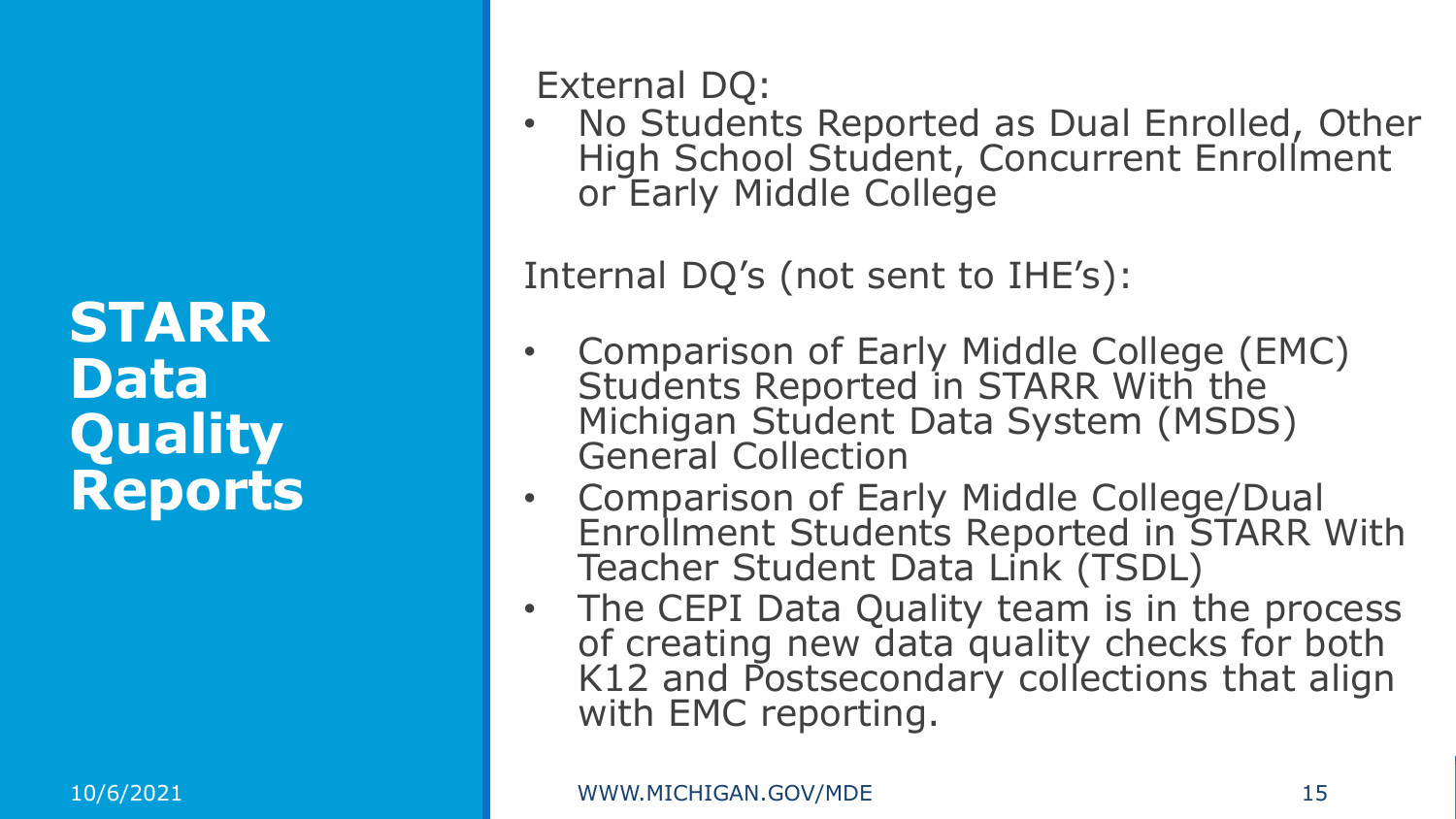**STARR Data Quality Reports** External DQ:

• No Students Reported as Dual Enrolled, Other High School Student, Concurrent Enrollment or Early Middle College

Internal DQ's (not sent to IHE's):

- Comparison of Early Middle College (EMC) Students Reported in STARR With the Michigan Student Data System (MSDS) General Collection
- Comparison of Early Middle College/Dual Enrollment Students Reported in STARR With Teacher Student Data Link (TSDL)
- The CEPI Data Quality team is in the process of creating new data quality checks for both K12 and Postsecondary collections that align with EMC reporting.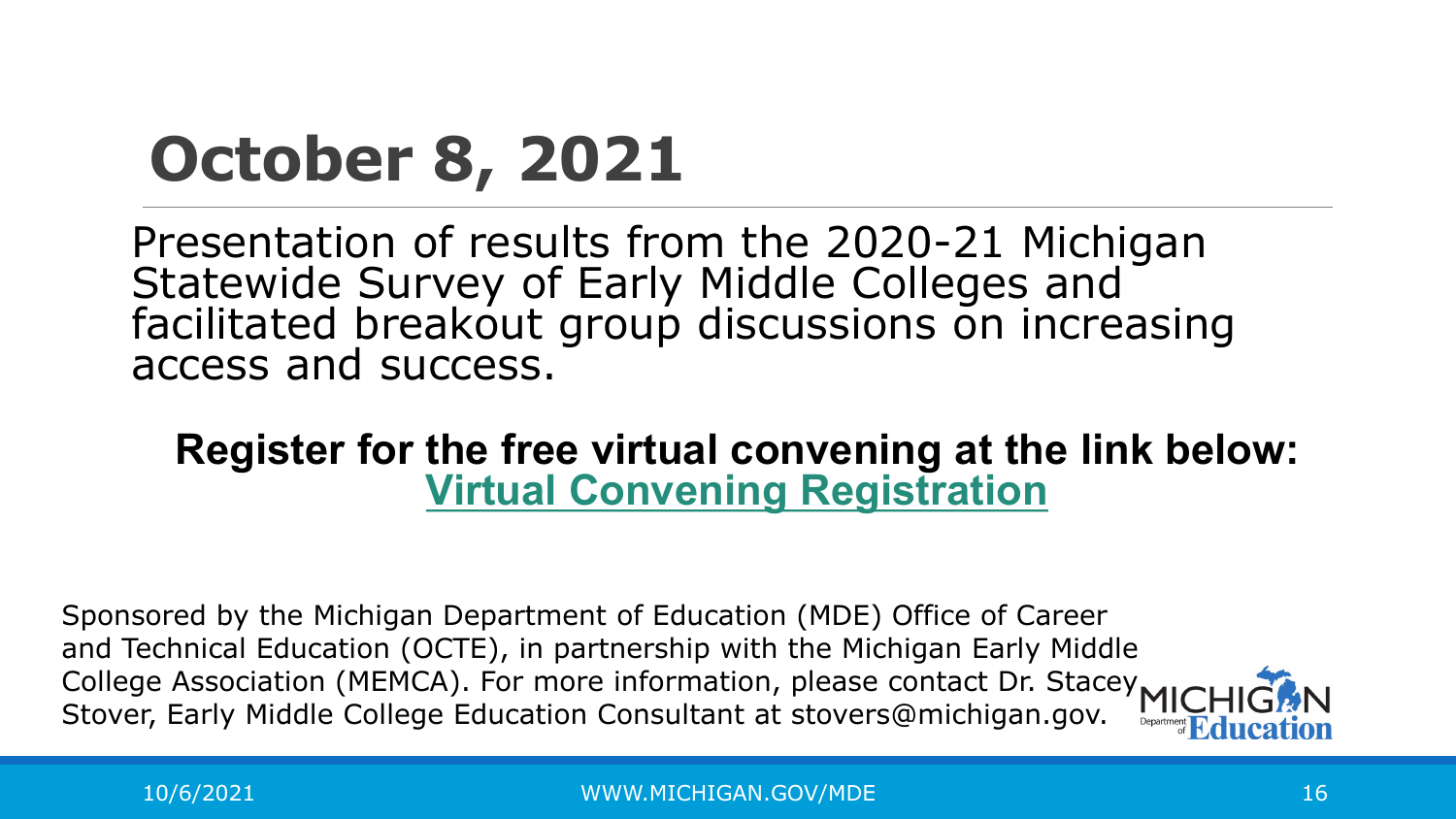#### **October 8, 2021**

Presentation of results from the 2020-21 Michigan Statewide Survey of Early Middle Colleges and facilitated breakout group discussions on increasing access and success.

#### **Register for the free virtual convening at the link below: [Virtual Convening Registration](https://teacherscollege.zoom.us/meeting/register/tJckceyqrDgiH9KGbOqc1ccIT6N3QkpS_MGS)**

Sponsored by the Michigan Department of Education (MDE) Office of Career and Technical Education (OCTE), in partnership with the Michigan Early Middle College Association (MEMCA). For more information, please contact Dr. Stacey MIC Stover, Early Middle College Education Consultant at stovers@michigan.gov.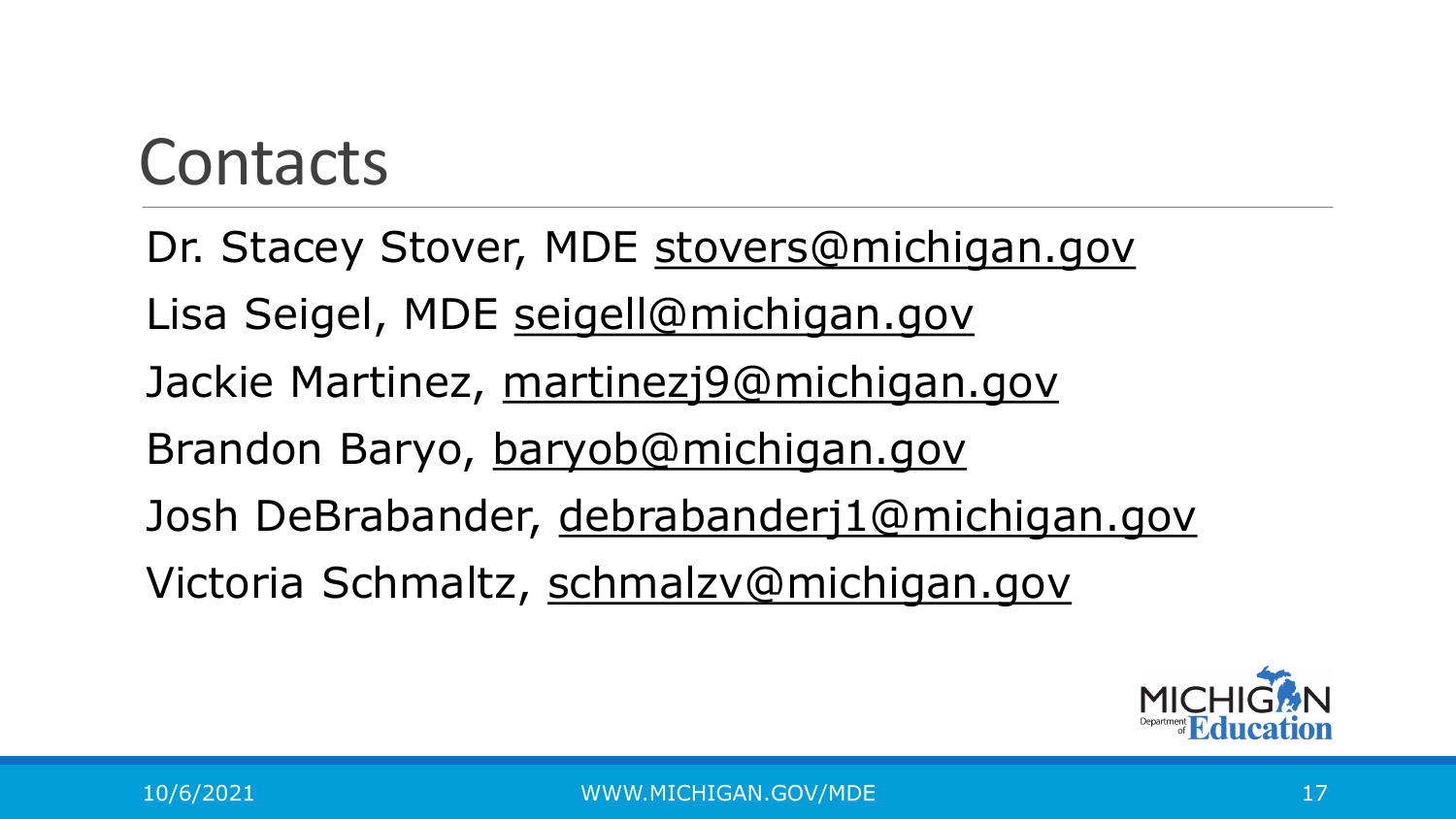#### Contacts

Dr. Stacey Stover, MDE [stovers@michigan.gov](mailto:stovers@michigan.gov) Lisa Seigel, MDE [seigell@michigan.gov](mailto:seigell@michigan.gov) Jackie Martinez, [martinezj9@michigan.gov](mailto:martinezj9@michigan.gov) Brandon Baryo, [baryob@michigan.gov](mailto:baryob@michigan.gov) Josh DeBrabander, [debrabanderj1@michigan.gov](mailto:debrabanderj1@michigan.gov) Victoria Schmaltz, [schmalzv@michigan.gov](mailto:schmalzv@michigan.gov)